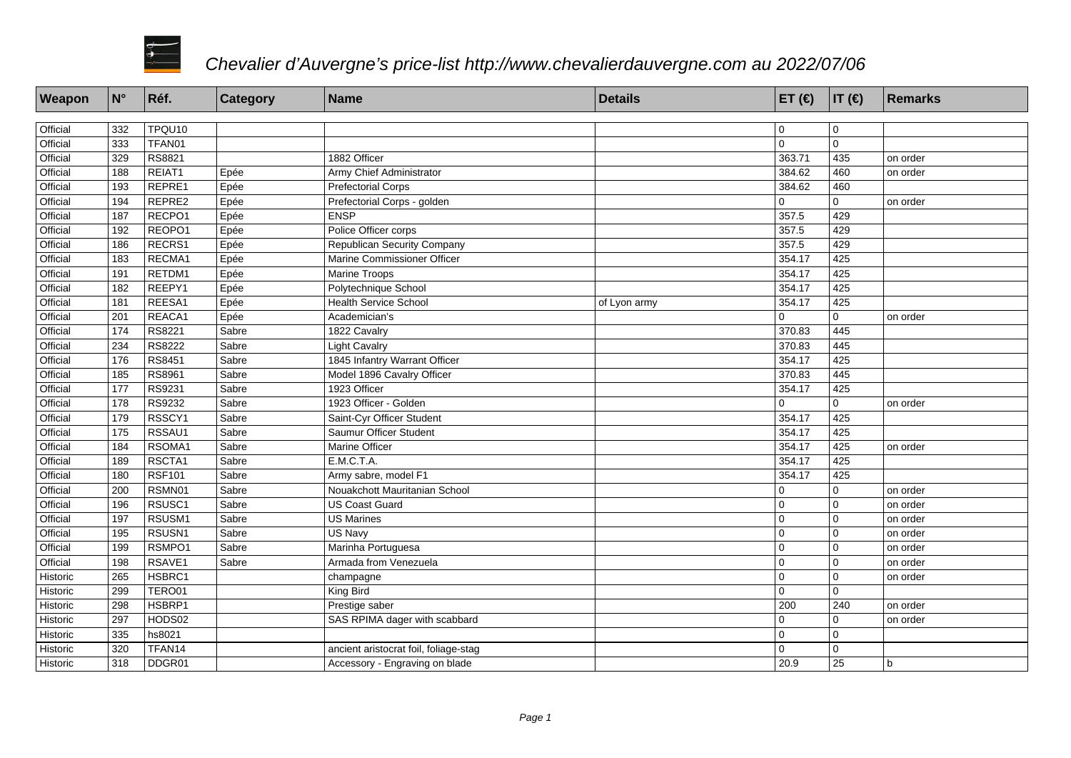

| Weapon   | $\mathsf{N}^\circ$ | Réf.          | Category | <b>Name</b>                           | <b>Details</b> | ET $(\epsilon)$  IT $(\epsilon)$ |                | Remarks  |
|----------|--------------------|---------------|----------|---------------------------------------|----------------|----------------------------------|----------------|----------|
|          |                    |               |          |                                       |                |                                  |                |          |
| Official | 332                | TPQU10        |          |                                       |                | $\overline{0}$                   | 0              |          |
| Official | 333                | TFAN01        |          |                                       |                | $\overline{0}$                   | $\overline{0}$ |          |
| Official | 329                | RS8821        |          | 1882 Officer                          |                | 363.71                           | 435            | on order |
| Official | 188                | REIAT1        | Epée     | Army Chief Administrator              |                | 384.62                           | 460            | on order |
| Official | 193                | REPRE1        | Epée     | <b>Prefectorial Corps</b>             |                | 384.62                           | 460            |          |
| Official | 194                | REPRE2        | Epée     | Prefectorial Corps - golden           |                | $\Omega$                         | $\Omega$       | on order |
| Official | 187                | RECPO1        | Epée     | <b>ENSP</b>                           |                | 357.5                            | 429            |          |
| Official | 192                | REOPO1        | Epée     | Police Officer corps                  |                | 357.5                            | 429            |          |
| Official | 186                | RECRS1        | Epée     | <b>Republican Security Company</b>    |                | 357.5                            | 429            |          |
| Official | 183                | RECMA1        | Epée     | Marine Commissioner Officer           |                | 354.17                           | 425            |          |
| Official | 191                | RETDM1        | Epée     | <b>Marine Troops</b>                  |                | 354.17                           | 425            |          |
| Official | 182                | REEPY1        | Epée     | Polytechnique School                  |                | 354.17                           | 425            |          |
| Official | 181                | REESA1        | Epée     | <b>Health Service School</b>          | of Lyon army   | 354.17                           | 425            |          |
| Official | 201                | REACA1        | Epée     | Academician's                         |                | $\Omega$                         | $\Omega$       | on order |
| Official | 174                | RS8221        | Sabre    | 1822 Cavalry                          |                | 370.83                           | 445            |          |
| Official | 234                | RS8222        | Sabre    | <b>Light Cavalry</b>                  |                | 370.83                           | 445            |          |
| Official | 176                | RS8451        | Sabre    | 1845 Infantry Warrant Officer         |                | 354.17                           | 425            |          |
| Official | 185                | RS8961        | Sabre    | Model 1896 Cavalry Officer            |                | 370.83                           | 445            |          |
| Official | 177                | RS9231        | Sabre    | 1923 Officer                          |                | 354.17                           | 425            |          |
| Official | 178                | RS9232        | Sabre    | 1923 Officer - Golden                 |                | $\Omega$                         | $\mathbf 0$    | on order |
| Official | 179                | RSSCY1        | Sabre    | Saint-Cyr Officer Student             |                | 354.17                           | 425            |          |
| Official | 175                | RSSAU1        | Sabre    | Saumur Officer Student                |                | 354.17                           | 425            |          |
| Official | 184                | RSOMA1        | Sabre    | Marine Officer                        |                | 354.17                           | 425            | on order |
| Official | 189                | RSCTA1        | Sabre    | E.M.C.T.A.                            |                | 354.17                           | 425            |          |
| Official | 180                | <b>RSF101</b> | Sabre    | Army sabre, model F1                  |                | 354.17                           | 425            |          |
| Official | 200                | RSMN01        | Sabre    | Nouakchott Mauritanian School         |                | $\Omega$                         | $\Omega$       | on order |
| Official | 196                | RSUSC1        | Sabre    | <b>US Coast Guard</b>                 |                | $\overline{0}$                   | $\overline{0}$ | on order |
| Official | 197                | RSUSM1        | Sabre    | <b>US Marines</b>                     |                | $\overline{0}$                   | $\overline{0}$ | on order |
| Official | 195                | RSUSN1        | Sabre    | US Navy                               |                | $\overline{0}$                   | 0              | on order |
| Official | 199                | RSMPO1        | Sabre    | Marinha Portuguesa                    |                | $\overline{0}$                   | $\overline{0}$ | on order |
| Official | 198                | RSAVE1        | Sabre    | Armada from Venezuela                 |                | $\overline{0}$                   | $\overline{0}$ | on order |
| Historic | 265                | HSBRC1        |          | champagne                             |                | $\Omega$                         | $\overline{0}$ | on order |
| Historic | 299                | TERO01        |          | King Bird                             |                | $\overline{0}$                   | $\overline{0}$ |          |
| Historic | 298                | HSBRP1        |          | Prestige saber                        |                | 200                              | 240            | on order |
| Historic | 297                | HODS02        |          | SAS RPIMA dager with scabbard         |                | $\mathbf 0$                      | $\overline{0}$ | on order |
| Historic | $\frac{1}{335}$    | hs8021        |          |                                       |                | $\overline{0}$                   | $\overline{0}$ |          |
| Historic | 320                | TFAN14        |          | ancient aristocrat foil, foliage-stag |                | $\mathbf 0$                      | $\overline{0}$ |          |
| Historic | 318                | DDGR01        |          | Accessory - Engraving on blade        |                | 20.9                             | 25             | b        |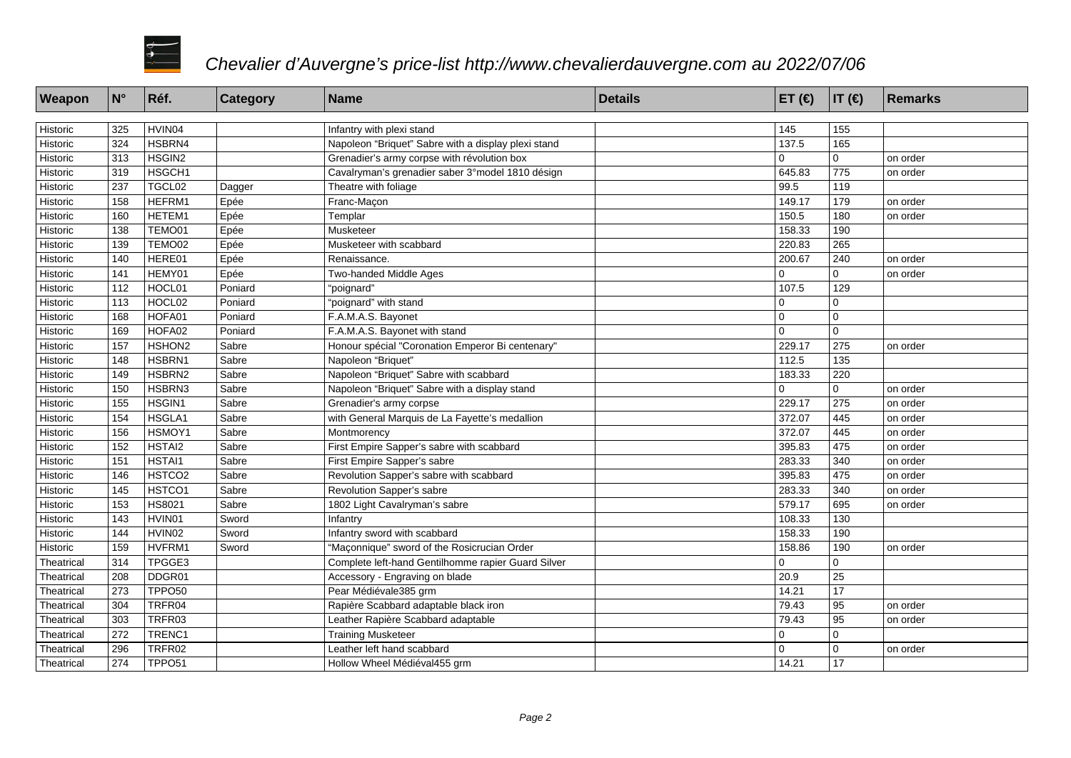

| Weapon     | $ N^{\circ} $    | Réf.               | <b>Category</b> | Name                                                | <b>Details</b> | ET $($ $\in)$ | $ IT(\epsilon) $ | Remarks  |
|------------|------------------|--------------------|-----------------|-----------------------------------------------------|----------------|---------------|------------------|----------|
|            |                  |                    |                 |                                                     |                |               |                  |          |
| Historic   | 325              | HVIN04             |                 | Infantry with plexi stand                           |                | 145           | 155              |          |
| Historic   | 324              | HSBRN4             |                 | Napoleon "Briquet" Sabre with a display plexi stand |                | 137.5         | 165              |          |
| Historic   | 313              | HSGIN2             |                 | Grenadier's army corpse with révolution box         |                | $\Omega$      | $\Omega$         | on order |
| Historic   | 319              | HSGCH1             |                 | Cavalryman's grenadier saber 3°model 1810 désign    |                | 645.83        | 775              | on order |
| Historic   | 237              | TGCL02             | Dagger          | Theatre with foliage                                |                | 99.5          | 119              |          |
| Historic   | 158              | HEFRM1             | Epée            | Franc-Maçon                                         |                | 149.17        | 179              | on order |
| Historic   | 160              | HETEM1             | Epée            | Templar                                             |                | 150.5         | 180              | on order |
| Historic   | 138              | TEMO01             | Epée            | Musketeer                                           |                | 158.33        | 190              |          |
| Historic   | 139              | TEMO02             | Epée            | Musketeer with scabbard                             |                | 220.83        | 265              |          |
| Historic   | 140              | HERE01             | Epée            | Renaissance.                                        |                | 200.67        | 240              | on order |
| Historic   | 141              | HEMY01             | Epée            | Two-handed Middle Ages                              |                | $\Omega$      | $\Omega$         | on order |
| Historic   | 112              | HOCL01             | Poniard         | "poignard"                                          |                | 107.5         | 129              |          |
| Historic   | 113              | HOCL02             | Poniard         | "poignard" with stand                               |                | $\Omega$      | $\overline{0}$   |          |
| Historic   | 168              | HOFA01             | Poniard         | F.A.M.A.S. Bayonet                                  |                | $\mathbf 0$   | 0                |          |
| Historic   | 169              | HOFA02             | Poniard         | F.A.M.A.S. Bayonet with stand                       |                | $\mathbf 0$   | $\Omega$         |          |
| Historic   | 157              | HSHON2             | Sabre           | Honour spécial "Coronation Emperor Bi centenary"    |                | 229.17        | 275              | on order |
| Historic   | 148              | HSBRN1             | Sabre           | Napoleon "Briquet"                                  |                | 112.5         | 135              |          |
| Historic   | 149              | HSBRN2             | Sabre           | Napoleon "Briquet" Sabre with scabbard              |                | 183.33        | 220              |          |
| Historic   | 150              | HSBRN3             | Sabre           | Napoleon "Briquet" Sabre with a display stand       |                | $\Omega$      | $\Omega$         | on order |
| Historic   | 155              | HSGIN1             | Sabre           | Grenadier's army corpse                             |                | 229.17        | 275              | on order |
| Historic   | 154              | HSGLA1             | Sabre           | with General Marquis de La Fayette's medallion      |                | 372.07        | 445              | on order |
| Historic   | 156              | HSMOY1             | Sabre           | Montmorency                                         |                | 372.07        | 445              | on order |
| Historic   | 152              | HSTAI2             | Sabre           | First Empire Sapper's sabre with scabbard           |                | 395.83        | 475              | on order |
| Historic   | 151              | HSTAI1             | Sabre           | First Empire Sapper's sabre                         |                | 283.33        | 340              | on order |
| Historic   | 146              | HSTCO <sub>2</sub> | Sabre           | Revolution Sapper's sabre with scabbard             |                | 395.83        | 475              | on order |
| Historic   | 145              | HSTCO1             | Sabre           | Revolution Sapper's sabre                           |                | 283.33        | 340              | on order |
| Historic   | $\overline{153}$ | HS8021             | Sabre           | 1802 Light Cavalryman's sabre                       |                | 579.17        | 695              | on order |
| Historic   | 143              | HVIN01             | Sword           | Infantry                                            |                | 108.33        | 130              |          |
| Historic   | 144              | HVIN02             | Sword           | Infantry sword with scabbard                        |                | 158.33        | 190              |          |
| Historic   | 159              | HVFRM1             | Sword           | "Maconnique" sword of the Rosicrucian Order         |                | 158.86        | 190              | on order |
| Theatrical | 314              | TPGGE3             |                 | Complete left-hand Gentilhomme rapier Guard Silver  |                | $\mathbf 0$   | 0                |          |
| Theatrical | 208              | DDGR01             |                 | Accessory - Engraving on blade                      |                | 20.9          | 25               |          |
| Theatrical | 273              | TPPO <sub>50</sub> |                 | Pear Médiévale 385 grm                              |                | 14.21         | 17               |          |
| Theatrical | 304              | TRFR04             |                 | Rapière Scabbard adaptable black iron               |                | 79.43         | 95               | on order |
| Theatrical | 303              | TRFR03             |                 | Leather Rapière Scabbard adaptable                  |                | 79.43         | $\sqrt{95}$      | on order |
| Theatrical | 272              | TRENC1             |                 | <b>Training Musketeer</b>                           |                | $\mathbf 0$   | $\mathbf{0}$     |          |
| Theatrical | 296              | TRFR02             |                 | Leather left hand scabbard                          |                | $\mathbf 0$   | 0                | on order |
| Theatrical | 274              | TPPO <sub>51</sub> |                 | Hollow Wheel Médiéval 455 grm                       |                | 14.21         | 17               |          |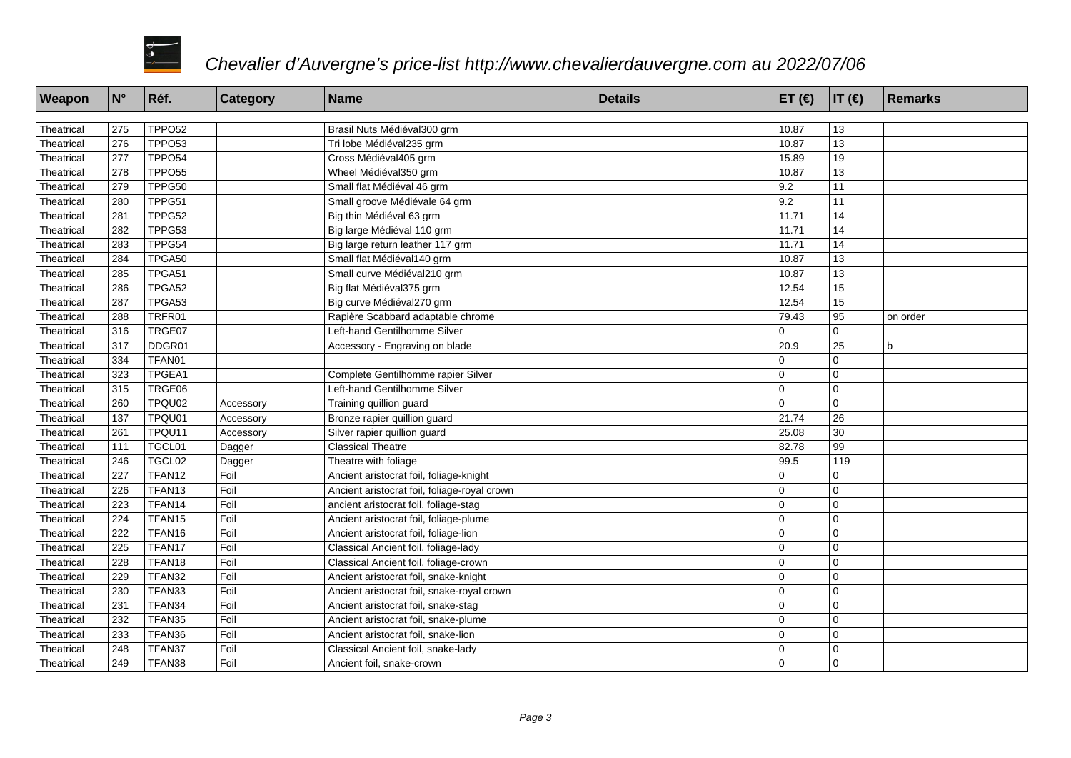

| Weapon     | $N^{\circ}$      | Réf.               | Category  | <b>Name</b>                                  | <b>Details</b> | ET $(\epsilon)$  IT $(\epsilon)$ |                 | Remarks     |
|------------|------------------|--------------------|-----------|----------------------------------------------|----------------|----------------------------------|-----------------|-------------|
|            |                  |                    |           |                                              |                |                                  |                 |             |
| Theatrical | 275              | TPPO <sub>52</sub> |           | Brasil Nuts Médiéval 300 grm                 |                | 10.87                            | 13              |             |
| Theatrical | 276              | TPPO53             |           | Tri lobe Médiéval 235 grm                    |                | 10.87                            | 13              |             |
| Theatrical | 277              | TPPO <sub>54</sub> |           | Cross Médiéval 405 grm                       |                | 15.89                            | 19              |             |
| Theatrical | 278              | TPPO <sub>55</sub> |           | Wheel Médiéval 350 grm                       |                | 10.87                            | 13              |             |
| Theatrical | 279              | TPPG50             |           | Small flat Médiéval 46 grm                   |                | 9.2                              | 11              |             |
| Theatrical | 280              | TPPG51             |           | Small groove Médiévale 64 grm                |                | 9.2                              | 11              |             |
| Theatrical | 281              | TPPG52             |           | Big thin Médiéval 63 grm                     |                | 11.71                            | 14              |             |
| Theatrical | 282              | TPPG53             |           | Big large Médiéval 110 grm                   |                | 11.71                            | 14              |             |
| Theatrical | 283              | TPPG54             |           | Big large return leather 117 grm             |                | 11.71                            | 14              |             |
| Theatrical | 284              | TPGA50             |           | Small flat Médiéval 140 grm                  |                | 10.87                            | 13              |             |
| Theatrical | 285              | TPGA51             |           | Small curve Médiéval 210 grm                 |                | 10.87                            | $\overline{13}$ |             |
| Theatrical | 286              | TPGA52             |           | Big flat Médiéval 375 grm                    |                | 12.54                            | 15              |             |
| Theatrical | 287              | TPGA53             |           | Big curve Médiéval 270 grm                   |                | 12.54                            | 15              |             |
| Theatrical | 288              | TRFR01             |           | Rapière Scabbard adaptable chrome            |                | 79.43                            | 95              | on order    |
| Theatrical | 316              | TRGE07             |           | Left-hand Gentilhomme Silver                 |                | $\Omega$                         | 0               |             |
| Theatrical | 317              | DDGR01             |           | Accessory - Engraving on blade               |                | 20.9                             | $\overline{25}$ | $\mathbf b$ |
| Theatrical | 334              | TFAN01             |           |                                              |                | $\overline{0}$                   | 0               |             |
| Theatrical | 323              | TPGEA1             |           | Complete Gentilhomme rapier Silver           |                | $\mathbf 0$                      | $\overline{0}$  |             |
| Theatrical | 315              | TRGE06             |           | Left-hand Gentilhomme Silver                 |                | $\Omega$                         | $\overline{0}$  |             |
| Theatrical | 260              | TPQU02             | Accessory | Training quillion guard                      |                | $\Omega$                         | l o             |             |
| Theatrical | $\overline{137}$ | TPQU01             | Accessory | Bronze rapier quillion guard                 |                | 21.74                            | $\overline{26}$ |             |
| Theatrical | 261              | TPQU11             | Accessory | Silver rapier quillion guard                 |                | 25.08                            | 30              |             |
| Theatrical | 111              | TGCL01             | Dagger    | <b>Classical Theatre</b>                     |                | 82.78                            | 99              |             |
| Theatrical | 246              | TGCL02             | Dagger    | Theatre with foliage                         |                | 99.5                             | 119             |             |
| Theatrical | 227              | TFAN12             | Foil      | Ancient aristocrat foil, foliage-knight      |                | $\overline{0}$                   | 0               |             |
| Theatrical | 226              | TFAN <sub>13</sub> | Foil      | Ancient aristocrat foil, foliage-royal crown |                | 0                                | $\overline{0}$  |             |
| Theatrical | 223              | TFAN14             | Foil      | ancient aristocrat foil, foliage-stag        |                | $\Omega$                         | $\overline{0}$  |             |
| Theatrical | 224              | TFAN <sub>15</sub> | Foil      | Ancient aristocrat foil, foliage-plume       |                | $\overline{0}$                   | l o             |             |
| Theatrical | 222              | TFAN16             | Foil      | Ancient aristocrat foil, foliage-lion        |                | $\overline{0}$                   | l o             |             |
| Theatrical | 225              | TFAN17             | Foil      | Classical Ancient foil, foliage-lady         |                | $\overline{0}$                   | l o             |             |
| Theatrical | 228              | TFAN18             | Foil      | Classical Ancient foil, foliage-crown        |                | $\overline{0}$                   | l o             |             |
| Theatrical | 229              | TFAN32             | Foil      | Ancient aristocrat foil, snake-knight        |                | $\mathbf 0$                      | $\overline{0}$  |             |
| Theatrical | 230              | TFAN33             | Foil      | Ancient aristocrat foil, snake-royal crown   |                | $\overline{0}$                   | l o             |             |
| Theatrical | 231              | TFAN34             | Foil      | Ancient aristocrat foil, snake-stag          |                | $\overline{0}$                   | l o             |             |
| Theatrical | 232              | TFAN35             | Foil      | Ancient aristocrat foil, snake-plume         |                | $\overline{0}$                   | l o             |             |
| Theatrical | 233              | TFAN36             | Foil      | Ancient aristocrat foil, snake-lion          |                | 0                                | l o             |             |
| Theatrical | 248              | TFAN37             | Foil      | Classical Ancient foil, snake-lady           |                | $\mathbf 0$                      | $\overline{0}$  |             |
| Theatrical | 249              | TFAN38             | Foil      | Ancient foil, snake-crown                    |                | $\Omega$                         | l o             |             |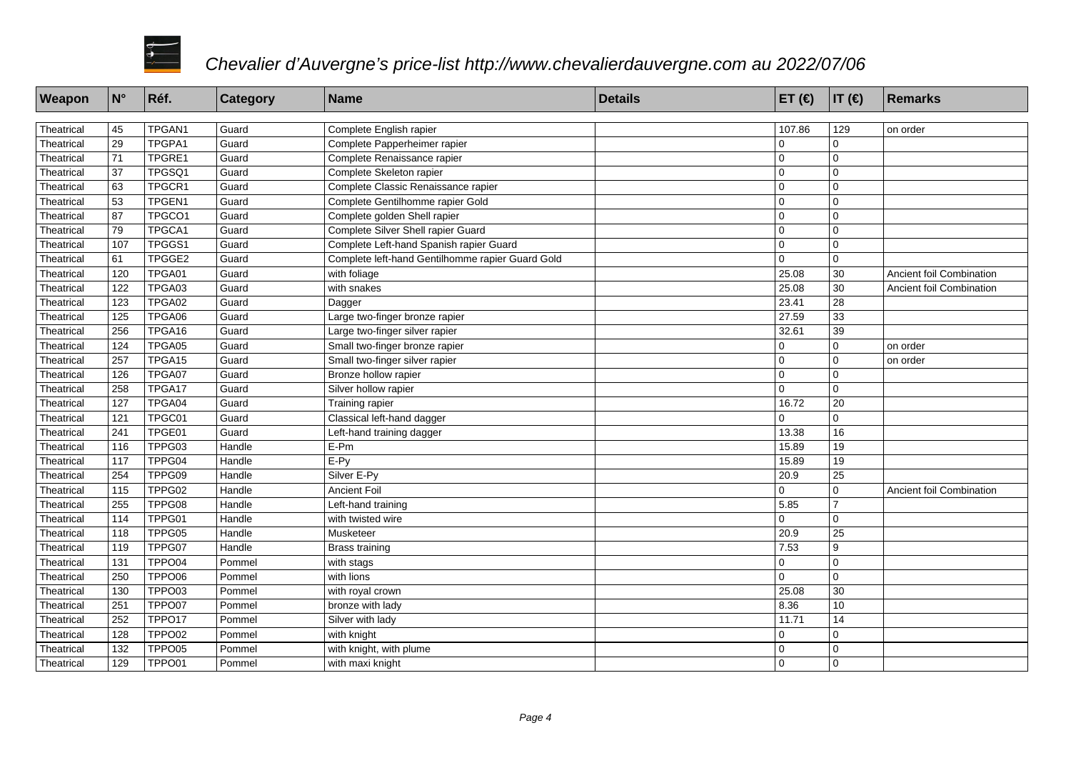

| Weapon     | N°  | Réf.   | <b>Category</b> | Name                                             | <b>Details</b> | ET $(€)$    | $ IT(\epsilon) $ | Remarks                  |
|------------|-----|--------|-----------------|--------------------------------------------------|----------------|-------------|------------------|--------------------------|
|            |     |        |                 |                                                  |                |             |                  |                          |
| Theatrical | 45  | TPGAN1 | Guard           | Complete English rapier                          |                | 107.86      | 129              | on order                 |
| Theatrical | 29  | TPGPA1 | Guard           | Complete Papperheimer rapier                     |                | $\mathbf 0$ | 0                |                          |
| Theatrical | 71  | TPGRE1 | Guard           | Complete Renaissance rapier                      |                | $\mathbf 0$ | 0                |                          |
| Theatrical | 37  | TPGSQ1 | Guard           | Complete Skeleton rapier                         |                | $\mathbf 0$ | 0                |                          |
| Theatrical | 63  | TPGCR1 | Guard           | Complete Classic Renaissance rapier              |                | $\Omega$    | $\Omega$         |                          |
| Theatrical | 53  | TPGEN1 | Guard           | Complete Gentilhomme rapier Gold                 |                | $\Omega$    | $\overline{0}$   |                          |
| Theatrical | 87  | TPGCO1 | Guard           | Complete golden Shell rapier                     |                | $\Omega$    | $\overline{0}$   |                          |
| Theatrical | 79  | TPGCA1 | Guard           | Complete Silver Shell rapier Guard               |                | $\mathbf 0$ | l 0              |                          |
| Theatrical | 107 | TPGGS1 | Guard           | Complete Left-hand Spanish rapier Guard          |                | $\mathbf 0$ | 0                |                          |
| Theatrical | 61  | TPGGE2 | Guard           | Complete left-hand Gentilhomme rapier Guard Gold |                | $\mathbf 0$ | $\overline{0}$   |                          |
| Theatrical | 120 | TPGA01 | Guard           | with foliage                                     |                | 25.08       | 30               | Ancient foil Combination |
| Theatrical | 122 | TPGA03 | Guard           | with snakes                                      |                | 25.08       | 30               | Ancient foil Combination |
| Theatrical | 123 | TPGA02 | Guard           | Dagger                                           |                | 23.41       | 28               |                          |
| Theatrical | 125 | TPGA06 | Guard           | Large two-finger bronze rapier                   |                | 27.59       | 33               |                          |
| Theatrical | 256 | TPGA16 | Guard           | Large two-finger silver rapier                   |                | 32.61       | 39               |                          |
| Theatrical | 124 | TPGA05 | Guard           | Small two-finger bronze rapier                   |                | $\Omega$    | $\overline{0}$   | on order                 |
| Theatrical | 257 | TPGA15 | Guard           | Small two-finger silver rapier                   |                | $\mathbf 0$ | 0                | on order                 |
| Theatrical | 126 | TPGA07 | Guard           | Bronze hollow rapier                             |                | $\Omega$    | $\Omega$         |                          |
| Theatrical | 258 | TPGA17 | Guard           | Silver hollow rapier                             |                | $\Omega$    | $\Omega$         |                          |
| Theatrical | 127 | TPGA04 | Guard           | Training rapier                                  |                | 16.72       | 20               |                          |
| Theatrical | 121 | TPGC01 | Guard           | Classical left-hand dagger                       |                | $\Omega$    | $\mathbf{0}$     |                          |
| Theatrical | 241 | TPGE01 | Guard           | Left-hand training dagger                        |                | 13.38       | 16               |                          |
| Theatrical | 116 | TPPG03 | Handle          | E-Pm                                             |                | 15.89       | 19               |                          |
| Theatrical | 117 | TPPG04 | Handle          | $E-Py$                                           |                | 15.89       | 19               |                          |
| Theatrical | 254 | TPPG09 | Handle          | Silver E-Py                                      |                | 20.9        | 25               |                          |
| Theatrical | 115 | TPPG02 | Handle          | <b>Ancient Foil</b>                              |                | $\Omega$    | $\Omega$         | Ancient foil Combination |
| Theatrical | 255 | TPPG08 | Handle          | Left-hand training                               |                | 5.85        | $\overline{7}$   |                          |
| Theatrical | 114 | TPPG01 | Handle          | with twisted wire                                |                | $\Omega$    | 0                |                          |
| Theatrical | 118 | TPPG05 | Handle          | Musketeer                                        |                | 20.9        | 25               |                          |
| Theatrical | 119 | TPPG07 | Handle          | Brass training                                   |                | 7.53        | 9                |                          |
| Theatrical | 131 | TPPO04 | Pommel          | with stags                                       |                | $\mathbf 0$ | 0                |                          |
| Theatrical | 250 | TPPO06 | Pommel          | with lions                                       |                | $\Omega$    | $\Omega$         |                          |
| Theatrical | 130 | TPPO03 | Pommel          | with royal crown                                 |                | 25.08       | 30               |                          |
| Theatrical | 251 | TPPO07 | Pommel          | bronze with lady                                 |                | 8.36        | 10               |                          |
| Theatrical | 252 | TPPO17 | Pommel          | Silver with lady                                 |                | 11.71       | 14               |                          |
| Theatrical | 128 | TPPO02 | Pommel          | with knight                                      |                | $\mathbf 0$ | $\Omega$         |                          |
| Theatrical | 132 | TPPO05 | Pommel          | with knight, with plume                          |                | $\mathbf 0$ | $\overline{0}$   |                          |
| Theatrical | 129 | TPPO01 | Pommel          | with maxi knight                                 |                | $\mathbf 0$ | $\overline{0}$   |                          |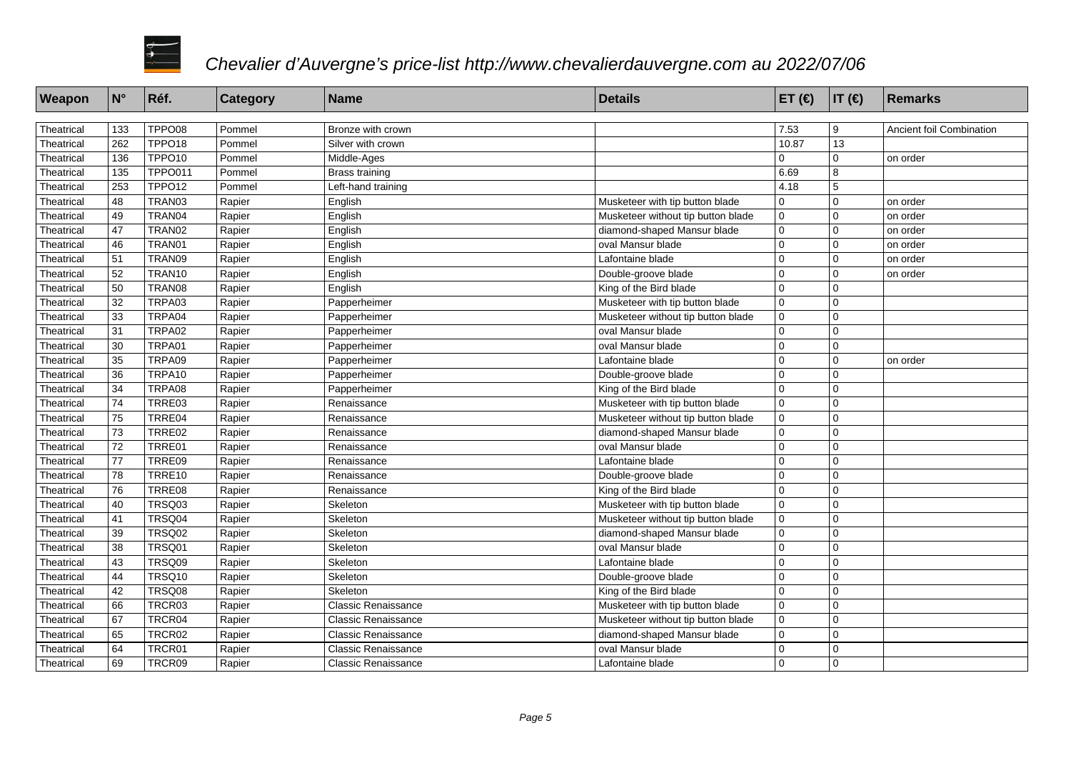

| Weapon     | N°         | Réf.               | <b>Category</b> | <b>Name</b>                | <b>Details</b>                     | ET $($ $\in$ $)$ | $ IT(\epsilon) $  | Remarks                  |
|------------|------------|--------------------|-----------------|----------------------------|------------------------------------|------------------|-------------------|--------------------------|
|            |            |                    |                 |                            |                                    |                  |                   |                          |
| Theatrical | 133<br>262 | TPPO08<br>TPPO18   | Pommel          | Bronze with crown          |                                    | 7.53<br>10.87    | 9                 | Ancient foil Combination |
| Theatrical | 136        | TPPO <sub>10</sub> | Pommel          | Silver with crown          |                                    | $\Omega$         | 13<br>$\mathbf 0$ |                          |
| Theatrical |            |                    | Pommel          | Middle-Ages                |                                    |                  |                   | on order                 |
| Theatrical | 135        | <b>TPPO011</b>     | Pommel          | <b>Brass training</b>      |                                    | 6.69             | 8                 |                          |
| Theatrical | 253        | TPPO12             | Pommel          | Left-hand training         |                                    | 4.18             | 5                 |                          |
| Theatrical | 48         | TRAN03             | Rapier          | English                    | Musketeer with tip button blade    | $\mathbf 0$      | $\Omega$          | on order                 |
| Theatrical | 49         | TRAN04             | Rapier          | English                    | Musketeer without tip button blade | $\mathbf 0$      | $\mathbf 0$       | on order                 |
| Theatrical | 47         | TRAN02             | Rapier          | English                    | diamond-shaped Mansur blade        | $\mathbf 0$      | $\mathbf 0$       | on order                 |
| Theatrical | 46         | TRAN01             | Rapier          | English                    | oval Mansur blade                  | $\mathbf 0$      | $\mathbf 0$       | on order                 |
| Theatrical | 51         | TRAN09             | Rapier          | English                    | Lafontaine blade                   | 0                | $\mathbf 0$       | on order                 |
| Theatrical | 52         | TRAN10             | Rapier          | English                    | Double-groove blade                | $\mathbf 0$      | $\mathbf 0$       | on order                 |
| Theatrical | 50         | TRAN08             | Rapier          | English                    | King of the Bird blade             | $\Omega$         | $\mathbf 0$       |                          |
| Theatrical | 32         | TRPA03             | Rapier          | Papperheimer               | Musketeer with tip button blade    | $\Omega$         | $\Omega$          |                          |
| Theatrical | 33         | TRPA04             | Rapier          | Papperheimer               | Musketeer without tip button blade | 0                | $\mathbf 0$       |                          |
| Theatrical | 31         | TRPA02             | Rapier          | Papperheimer               | oval Mansur blade                  | $\mathbf 0$      | $\mathbf 0$       |                          |
| Theatrical | 30         | TRPA01             | Rapier          | Papperheimer               | oval Mansur blade                  | $\mathbf 0$      | $\mathbf 0$       |                          |
| Theatrical | 35         | TRPA09             | Rapier          | Papperheimer               | Lafontaine blade                   | $\mathbf 0$      | $\mathbf 0$       | on order                 |
| Theatrical | 36         | TRPA10             | Rapier          | Papperheimer               | Double-groove blade                | 0                | $\mathbf 0$       |                          |
| Theatrical | 34         | TRPA08             | Rapier          | Papperheimer               | King of the Bird blade             | 0                | $\mathbf 0$       |                          |
| Theatrical | 74         | TRRE03             | Rapier          | Renaissance                | Musketeer with tip button blade    | $\Omega$         | $\mathbf 0$       |                          |
| Theatrical | 75         | TRRE04             | Rapier          | Renaissance                | Musketeer without tip button blade | 0                | $\mathbf 0$       |                          |
| Theatrical | 73         | TRRE02             | Rapier          | Renaissance                | diamond-shaped Mansur blade        | $\mathbf 0$      | $\mathbf 0$       |                          |
| Theatrical | 72         | TRRE01             | Rapier          | Renaissance                | oval Mansur blade                  | 0                | $\mathbf 0$       |                          |
| Theatrical | 77         | TRRE09             | Rapier          | Renaissance                | Lafontaine blade                   | $\Omega$         | $\Omega$          |                          |
| Theatrical | 78         | TRRE10             | Rapier          | Renaissance                | Double-groove blade                | $\Omega$         | $\mathbf 0$       |                          |
| Theatrical | 76         | TRRE08             | Rapier          | Renaissance                | King of the Bird blade             | $\Omega$         | $\mathbf 0$       |                          |
| Theatrical | 40         | TRSQ03             | Rapier          | Skeleton                   | Musketeer with tip button blade    | $\mathbf 0$      | $\mathbf 0$       |                          |
| Theatrical | 41         | TRSQ04             | Rapier          | Skeleton                   | Musketeer without tip button blade | $\mathbf 0$      | $\mathbf 0$       |                          |
| Theatrical | 39         | TRSQ02             | Rapier          | Skeleton                   | diamond-shaped Mansur blade        | $\mathbf 0$      | $\mathbf 0$       |                          |
| Theatrical | 38         | TRSQ01             | Rapier          | Skeleton                   | oval Mansur blade                  | $\pmb{0}$        | $\mathbf 0$       |                          |
| Theatrical | 43         | TRSQ09             | Rapier          | Skeleton                   | Lafontaine blade                   | 0                | $\mathbf 0$       |                          |
| Theatrical | 44         | TRSQ10             | Rapier          | Skeleton                   | Double-groove blade                | $\Omega$         | $\mathbf 0$       |                          |
| Theatrical | 42         | TRSQ08             | Rapier          | Skeleton                   | King of the Bird blade             | $\Omega$         | $\Omega$          |                          |
| Theatrical | 66         | TRCR03             | Rapier          | <b>Classic Renaissance</b> | Musketeer with tip button blade    | $\Omega$         | $\mathbf 0$       |                          |
| Theatrical | 67         | TRCR04             | Rapier          | <b>Classic Renaissance</b> | Musketeer without tip button blade | $\mathbf 0$      | $\mathbf 0$       |                          |
| Theatrical | 65         | TRCR02             | Rapier          | <b>Classic Renaissance</b> | diamond-shaped Mansur blade        | $\mathbf 0$      | $\mathbf 0$       |                          |
| Theatrical | 64         | TRCR01             | Rapier          | <b>Classic Renaissance</b> | oval Mansur blade                  | 0                | $\mathbf 0$       |                          |
| Theatrical | 69         | TRCR09             | Rapier          | <b>Classic Renaissance</b> | Lafontaine blade                   | $\Omega$         | $\mathbf 0$       |                          |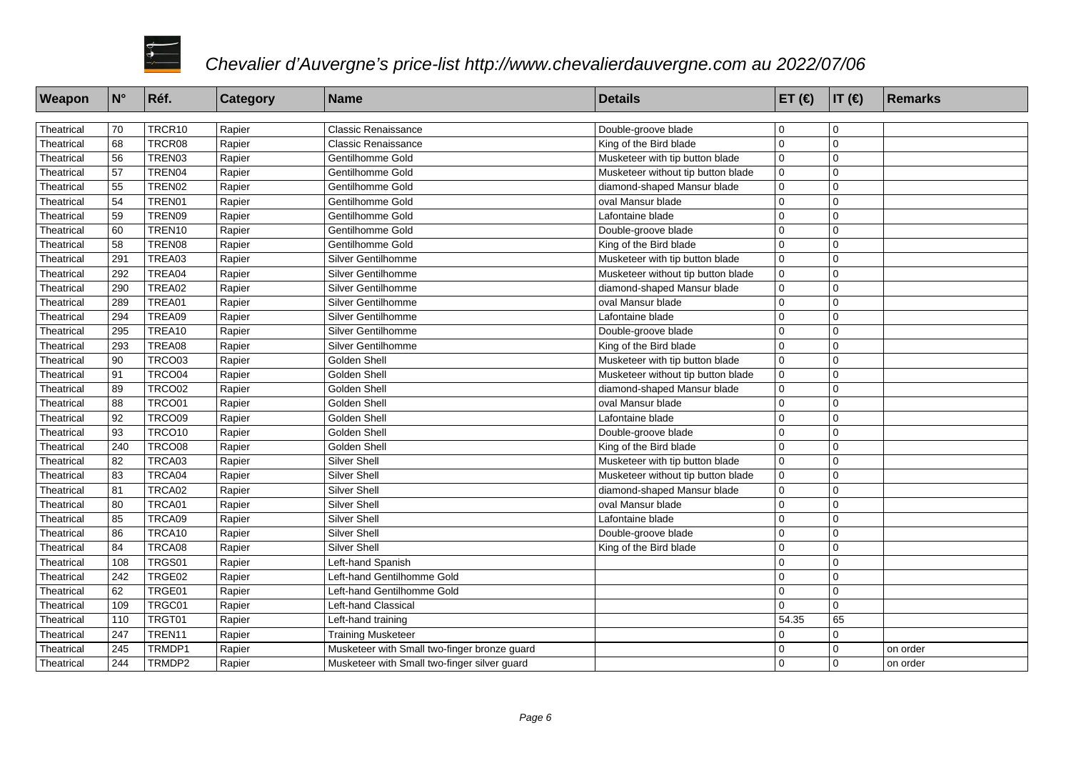

| Weapon     | $ N^{\circ} $ | Réf.          | Category         | <b>Name</b>                                  | <b>Details</b>                     | ET $(\epsilon)$  IT $(\epsilon)$ |                | Remarks  |
|------------|---------------|---------------|------------------|----------------------------------------------|------------------------------------|----------------------------------|----------------|----------|
| Theatrical | 70            | TRCR10        | Rapier           | <b>Classic Renaissance</b>                   | Double-groove blade                | l 0                              | 0              |          |
| Theatrical | 68            | TRCR08        | Rapier           | <b>Classic Renaissance</b>                   | King of the Bird blade             | $\mathbf 0$                      | $\overline{0}$ |          |
| Theatrical | 56            | TREN03        | Rapier           | Gentilhomme Gold                             | Musketeer with tip button blade    | $\overline{0}$                   | $\overline{0}$ |          |
| Theatrical | 57            | TREN04        |                  | Gentilhomme Gold                             | Musketeer without tip button blade | $\mathbf 0$                      | $\mathbf 0$    |          |
| Theatrical | 55            | TREN02        | Rapier           | Gentilhomme Gold                             | diamond-shaped Mansur blade        | $\overline{0}$                   | $\overline{0}$ |          |
| Theatrical | 54            | TREN01        | Rapier<br>Rapier | Gentilhomme Gold                             | oval Mansur blade                  | $\Omega$                         | $\overline{0}$ |          |
| Theatrical | 59            | TREN09        | Rapier           | Gentilhomme Gold                             | Lafontaine blade                   | $\overline{0}$                   | $\overline{0}$ |          |
| Theatrical | 60            | TREN10        | Rapier           | Gentilhomme Gold                             | Double-groove blade                | $\Omega$                         | $\overline{0}$ |          |
|            |               |               |                  |                                              |                                    | $\mathbf 0$                      | $\overline{0}$ |          |
| Theatrical | 58            | TREN08        | Rapier           | Gentilhomme Gold                             | King of the Bird blade             |                                  | $\overline{0}$ |          |
| Theatrical | 291           | TREA03        | Rapier           | Silver Gentilhomme                           | Musketeer with tip button blade    | 0                                |                |          |
| Theatrical | 292           | TREA04        | Rapier           | Silver Gentilhomme                           | Musketeer without tip button blade | $\mathbf 0$                      | $\overline{0}$ |          |
| Theatrical | 290           | TREA02        | Rapier           | Silver Gentilhomme                           | diamond-shaped Mansur blade        | $\overline{0}$                   | $\overline{0}$ |          |
| Theatrical | 289           | TREA01        | Rapier           | Silver Gentilhomme                           | oval Mansur blade                  | $\mathbf 0$                      | $\overline{0}$ |          |
| Theatrical | 294           | TREA09        | Rapier           | Silver Gentilhomme                           | Lafontaine blade                   | $\Omega$                         | $\overline{0}$ |          |
| Theatrical | 295           | TREA10        | Rapier           | Silver Gentilhomme                           | Double-groove blade                | 0                                | $\overline{0}$ |          |
| Theatrical | 293           | TREA08        | Rapier           | Silver Gentilhomme                           | King of the Bird blade             | $\Omega$                         | $\overline{0}$ |          |
| Theatrical | 90            | TRCO03        | Rapier           | Golden Shell                                 | Musketeer with tip button blade    | $\overline{0}$                   | $\overline{0}$ |          |
| Theatrical | 91            | TRCO04        | Rapier           | <b>Golden Shell</b>                          | Musketeer without tip button blade | $\mathbf 0$                      | $\Omega$       |          |
| Theatrical | 89            | <b>TRCO02</b> | Rapier           | Golden Shell                                 | diamond-shaped Mansur blade        | $\overline{0}$                   | $\overline{0}$ |          |
| Theatrical | 88            | TRCO01        | Rapier           | <b>Golden Shell</b>                          | oval Mansur blade                  | $\mathbf 0$                      | $\overline{0}$ |          |
| Theatrical | 92            | <b>TRCO09</b> | Rapier           | Golden Shell                                 | Lafontaine blade                   | $\Omega$                         | $\overline{0}$ |          |
| Theatrical | 93            | TRCO10        | Rapier           | Golden Shell                                 | Double-groove blade                | $\mathbf 0$                      | $\overline{0}$ |          |
| Theatrical | 240           | <b>TRCO08</b> | Rapier           | Golden Shell                                 | King of the Bird blade             | $\Omega$                         | $\overline{0}$ |          |
| Theatrical | 82            | TRCA03        | Rapier           | <b>Silver Shell</b>                          | Musketeer with tip button blade    | $\overline{0}$                   | $\overline{0}$ |          |
| Theatrical | 83            | TRCA04        | Rapier           | Silver Shell                                 | Musketeer without tip button blade | $\mathbf 0$                      | $\overline{0}$ |          |
| Theatrical | 81            | TRCA02        | Rapier           | <b>Silver Shell</b>                          | diamond-shaped Mansur blade        | $\overline{0}$                   | $\overline{0}$ |          |
| Theatrical | 80            | TRCA01        | Rapier           | Silver Shell                                 | oval Mansur blade                  | $\Omega$                         | $\overline{0}$ |          |
| Theatrical | 85            | TRCA09        | Rapier           | <b>Silver Shell</b>                          | Lafontaine blade                   | $\mathbf 0$                      | $\overline{0}$ |          |
| Theatrical | 86            | TRCA10        | Rapier           | Silver Shell                                 | Double-groove blade                | $\overline{0}$                   | $\overline{0}$ |          |
| Theatrical | 84            | TRCA08        | Rapier           | Silver Shell                                 | King of the Bird blade             | $\mathbf 0$                      | $\overline{0}$ |          |
| Theatrical | 108           | TRGS01        | Rapier           | Left-hand Spanish                            |                                    | $\overline{0}$                   | $\overline{0}$ |          |
| Theatrical | 242           | TRGE02        | Rapier           | Left-hand Gentilhomme Gold                   |                                    | $\mathbf 0$                      | $\Omega$       |          |
| Theatrical | 62            | TRGE01        | Rapier           | Left-hand Gentilhomme Gold                   |                                    | $\overline{0}$                   | $\overline{0}$ |          |
| Theatrical | 109           | TRGC01        | Rapier           | Left-hand Classical                          |                                    | $\Omega$                         | $\overline{0}$ |          |
| Theatrical | 110           | TRGT01        | Rapier           | Left-hand training                           |                                    | 54.35                            | 65             |          |
| Theatrical | 247           | TREN11        | Rapier           | <b>Training Musketeer</b>                    |                                    | $\Omega$                         | $\overline{0}$ |          |
| Theatrical | 245           | TRMDP1        | Rapier           | Musketeer with Small two-finger bronze guard |                                    | $\mathbf 0$                      | 0              | on order |
| Theatrical | 244           | TRMDP2        | Rapier           | Musketeer with Small two-finger silver quard |                                    | $\Omega$                         | $\overline{0}$ | on order |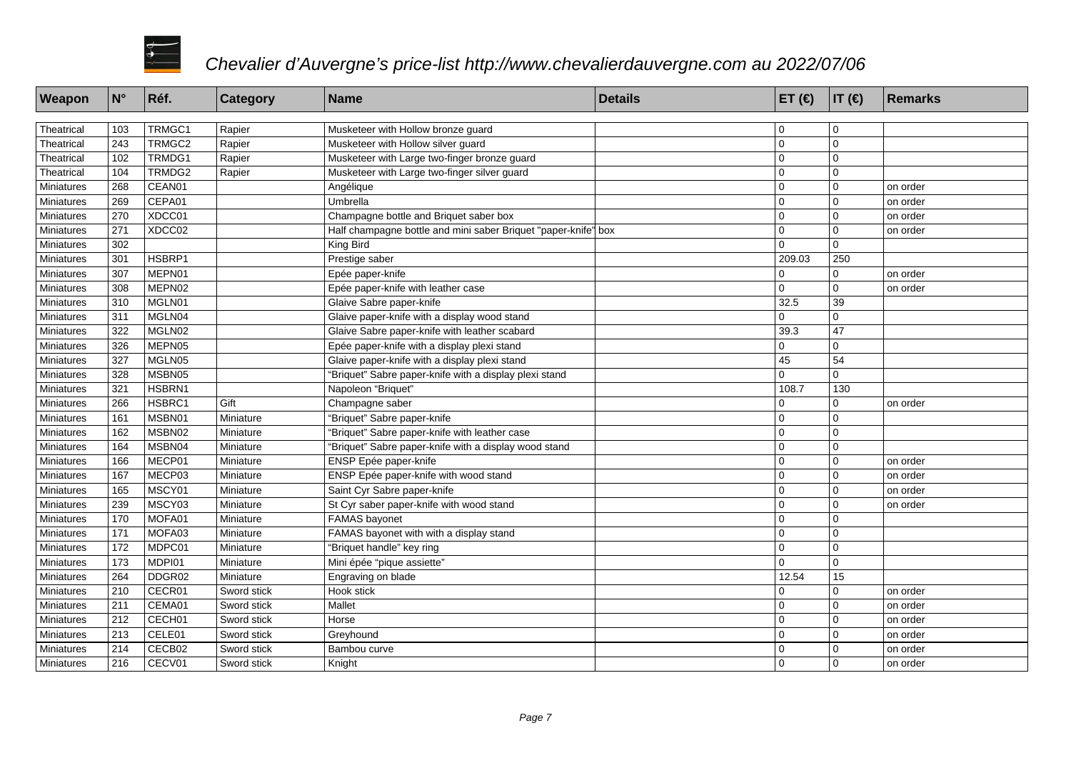

| Weapon     | $\mathsf{N}^\circ$ | Réf.   | <b>Category</b> | Name                                                           | <b>Details</b> | ET $(€)$    | IT(E)          | Remarks  |
|------------|--------------------|--------|-----------------|----------------------------------------------------------------|----------------|-------------|----------------|----------|
|            |                    |        |                 |                                                                |                |             |                |          |
| Theatrical | 103                | TRMGC1 | Rapier          | Musketeer with Hollow bronze guard                             |                | $\mathbf 0$ |                |          |
| Theatrical | 243                | TRMGC2 | Rapier          | Musketeer with Hollow silver guard                             |                | $\mathbf 0$ | 0              |          |
| Theatrical | 102                | TRMDG1 | Rapier          | Musketeer with Large two-finger bronze guard                   |                | $\mathbf 0$ | $\overline{0}$ |          |
| Theatrical | 104                | TRMDG2 | Rapier          | Musketeer with Large two-finger silver guard                   |                | $\mathbf 0$ | $\overline{0}$ |          |
| Miniatures | 268                | CEAN01 |                 | Angélique                                                      |                | $\mathbf 0$ | $\overline{0}$ | on order |
| Miniatures | 269                | CEPA01 |                 | Umbrella                                                       |                | $\mathbf 0$ | 0              | on order |
| Miniatures | 270                | XDCC01 |                 | Champagne bottle and Briquet saber box                         |                | $\mathbf 0$ | $\overline{0}$ | on order |
| Miniatures | 271                | XDCC02 |                 | Half champagne bottle and mini saber Briquet "paper-knife" box |                | $\mathbf 0$ | $\mathbf 0$    | on order |
| Miniatures | 302                |        |                 | King Bird                                                      |                | $\Omega$    | $\Omega$       |          |
| Miniatures | 301                | HSBRP1 |                 | Prestige saber                                                 |                | 209.03      | 250            |          |
| Miniatures | 307                | MEPN01 |                 | Epée paper-knife                                               |                | $\mathbf 0$ | $\mathbf 0$    | on order |
| Miniatures | 308                | MEPN02 |                 | Epée paper-knife with leather case                             |                | $\Omega$    | $\Omega$       | on order |
| Miniatures | 310                | MGLN01 |                 | Glaive Sabre paper-knife                                       |                | 32.5        | 39             |          |
| Miniatures | 311                | MGLN04 |                 | Glaive paper-knife with a display wood stand                   |                | $\Omega$    | $\overline{0}$ |          |
| Miniatures | 322                | MGLN02 |                 | Glaive Sabre paper-knife with leather scabard                  |                | 39.3        | 47             |          |
| Miniatures | 326                | MEPN05 |                 | Epée paper-knife with a display plexi stand                    |                | $\mathbf 0$ | $\Omega$       |          |
| Miniatures | 327                | MGLN05 |                 | Glaive paper-knife with a display plexi stand                  |                | 45          | 54             |          |
| Miniatures | 328                | MSBN05 |                 | 'Briquet" Sabre paper-knife with a display plexi stand         |                | $\Omega$    | $\mathbf{0}$   |          |
| Miniatures | 321                | HSBRN1 |                 | Napoleon "Briquet"                                             |                | 108.7       | 130            |          |
| Miniatures | 266                | HSBRC1 | Gift            | Champagne saber                                                |                | $\mathbf 0$ | 0              | on order |
| Miniatures | 161                | MSBN01 | Miniature       | "Briquet" Sabre paper-knife                                    |                | $\mathbf 0$ | 0              |          |
| Miniatures | 162                | MSBN02 | Miniature       | 'Briquet" Sabre paper-knife with leather case                  |                | $\mathbf 0$ | $\overline{0}$ |          |
| Miniatures | 164                | MSBN04 | Miniature       | 'Briquet" Sabre paper-knife with a display wood stand          |                | $\mathbf 0$ | $\overline{0}$ |          |
| Miniatures | 166                | MECP01 | Miniature       | ENSP Epée paper-knife                                          |                | $\mathbf 0$ | $\overline{0}$ | on order |
| Miniatures | 167                | MECP03 | Miniature       | ENSP Epée paper-knife with wood stand                          |                | $\mathbf 0$ | $\Omega$       | on order |
| Miniatures | 165                | MSCY01 | Miniature       | Saint Cyr Sabre paper-knife                                    |                | $\Omega$    | 0              | on order |
| Miniatures | 239                | MSCY03 | Miniature       | St Cyr saber paper-knife with wood stand                       |                | $\Omega$    | $\overline{0}$ | on order |
| Miniatures | 170                | MOFA01 | Miniature       | <b>FAMAS</b> bayonet                                           |                | $\mathbf 0$ | $\overline{0}$ |          |
| Miniatures | 171                | MOFA03 | Miniature       | FAMAS bayonet with with a display stand                        |                | $\mathbf 0$ | 0              |          |
| Miniatures | 172                | MDPC01 | Miniature       | "Briquet handle" key ring                                      |                | $\mathbf 0$ | $\overline{0}$ |          |
| Miniatures | 173                | MDPI01 | Miniature       | Mini épée "pique assiette"                                     |                | $\Omega$    | 0              |          |
| Miniatures | 264                | DDGR02 | Miniature       | Engraving on blade                                             |                | 12.54       | 15             |          |
| Miniatures | 210                | CECR01 | Sword stick     | Hook stick                                                     |                | $\Omega$    | $\overline{0}$ | on order |
| Miniatures | 211                | CEMA01 | Sword stick     | Mallet                                                         |                | $\mathbf 0$ | 0              | on order |
| Miniatures | 212                | CECH01 | Sword stick     | Horse                                                          |                | $\mathbf 0$ | $\Omega$       | on order |
| Miniatures | 213                | CELE01 | Sword stick     | Greyhound                                                      |                | $\mathbf 0$ | $\overline{0}$ | on order |
| Miniatures | 214                | CECB02 | Sword stick     | Bambou curve                                                   |                | $\mathbf 0$ | $\mathbf 0$    | on order |
| Miniatures | 216                | CECV01 | Sword stick     | Knight                                                         |                | $\Omega$    | $\Omega$       | on order |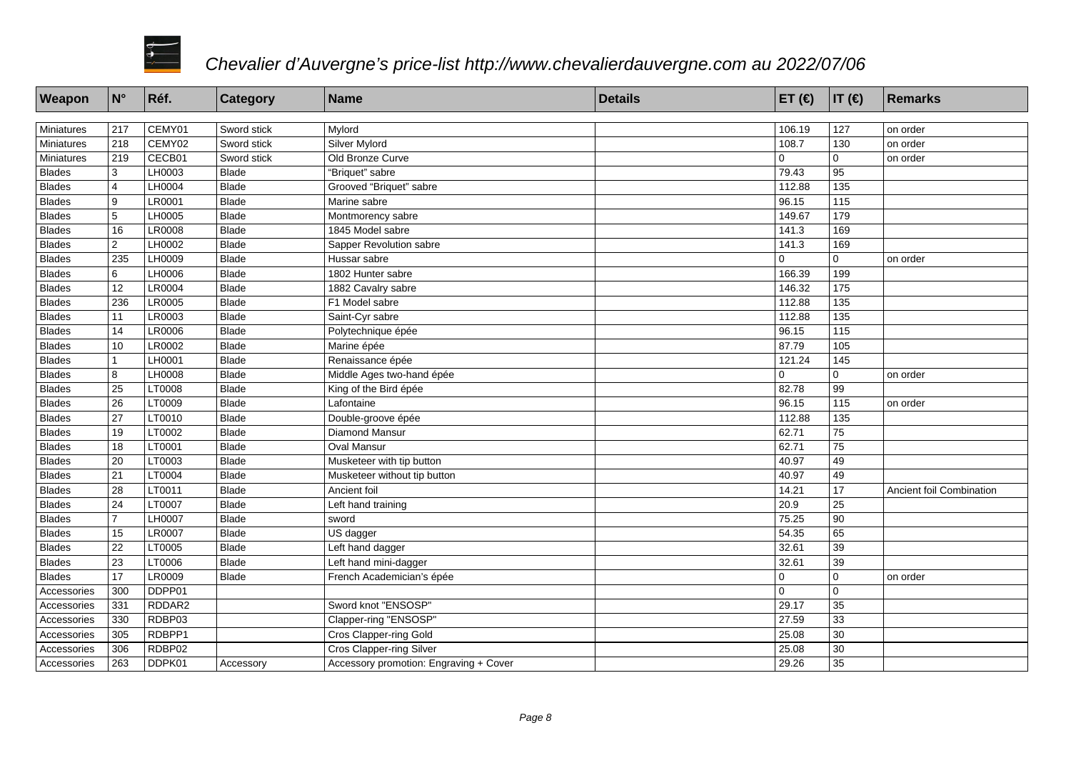

| Weapon        | $ N^{\circ} $  | Réf.          | <b>Category</b> | Name                                   | <b>Details</b> | ET $($ $\in)$ | $IT(\epsilon)$    | Remarks                  |
|---------------|----------------|---------------|-----------------|----------------------------------------|----------------|---------------|-------------------|--------------------------|
|               |                |               |                 |                                        |                |               |                   |                          |
| Miniatures    | 217            | CEMY01        | Sword stick     | Mylord                                 |                | 106.19        | 127               | on order                 |
| Miniatures    | 218            | CEMY02        | Sword stick     | Silver Mylord                          |                | 108.7         | 130               | on order                 |
| Miniatures    | 219            | CECB01        | Sword stick     | Old Bronze Curve                       |                | $\Omega$      | $\mathbf 0$       | on order                 |
| <b>Blades</b> | 3              | LH0003        | <b>Blade</b>    | "Briquet" sabre                        |                | 79.43         | 95                |                          |
| <b>Blades</b> | $\overline{4}$ | LH0004        | <b>Blade</b>    | Grooved "Briquet" sabre                |                | 112.88        | 135               |                          |
| <b>Blades</b> | 9              | LR0001        | Blade           | Marine sabre                           |                | 96.15         | 115               |                          |
| <b>Blades</b> | 5              | LH0005        | Blade           | Montmorency sabre                      |                | 149.67        | 179               |                          |
| <b>Blades</b> | 16             | LR0008        | <b>Blade</b>    | 1845 Model sabre                       |                | 141.3         | 169               |                          |
| <b>Blades</b> | $\overline{2}$ | LH0002        | <b>Blade</b>    | Sapper Revolution sabre                |                | 141.3         | 169               |                          |
| <b>Blades</b> | 235            | LH0009        | <b>Blade</b>    | Hussar sabre                           |                | $\Omega$      | $\mathbf{0}$      | on order                 |
| <b>Blades</b> | 6              | <b>LH0006</b> | <b>Blade</b>    | 1802 Hunter sabre                      |                | 166.39        | 199               |                          |
| <b>Blades</b> | 12             | LR0004        | <b>Blade</b>    | 1882 Cavalry sabre                     |                | 146.32        | 175               |                          |
| <b>Blades</b> | 236            | <b>LR0005</b> | <b>Blade</b>    | F1 Model sabre                         |                | 112.88        | 135               |                          |
| <b>Blades</b> | 11             | LR0003        | <b>Blade</b>    | Saint-Cyr sabre                        |                | 112.88        | 135               |                          |
| <b>Blades</b> | 14             | <b>LR0006</b> | <b>Blade</b>    | Polytechnique épée                     |                | 96.15         | 115               |                          |
| <b>Blades</b> | 10             | LR0002        | <b>Blade</b>    | Marine épée                            |                | 87.79         | 105               |                          |
| <b>Blades</b> | 1              | LH0001        | Blade           | Renaissance épée                       |                | 121.24        | $\frac{145}{145}$ |                          |
| <b>Blades</b> | 8              | LH0008        | Blade           | Middle Ages two-hand épée              |                | $\Omega$      | $\Omega$          | on order                 |
| <b>Blades</b> | 25             | LT0008        | <b>Blade</b>    | King of the Bird épée                  |                | 82.78         | 99                |                          |
| <b>Blades</b> | 26             | LT0009        | <b>Blade</b>    | Lafontaine                             |                | 96.15         | 115               | on order                 |
| <b>Blades</b> | 27             | LT0010        | Blade           | Double-groove épée                     |                | 112.88        | 135               |                          |
| <b>Blades</b> | 19             | LT0002        | <b>Blade</b>    | <b>Diamond Mansur</b>                  |                | 62.71         | 75                |                          |
| <b>Blades</b> | 18             | LT0001        | <b>Blade</b>    | <b>Oval Mansur</b>                     |                | 62.71         | 75                |                          |
| <b>Blades</b> | 20             | LT0003        | <b>Blade</b>    | Musketeer with tip button              |                | 40.97         | 49                |                          |
| <b>Blades</b> | 21             | LT0004        | Blade           | Musketeer without tip button           |                | 40.97         | 49                |                          |
| <b>Blades</b> | 28             | LT0011        | <b>Blade</b>    | Ancient foil                           |                | 14.21         | 17                | Ancient foil Combination |
| <b>Blades</b> | 24             | LT0007        | Blade           | Left hand training                     |                | 20.9          | $\overline{25}$   |                          |
| <b>Blades</b> | $\overline{7}$ | LH0007        | Blade           | sword                                  |                | 75.25         | 90                |                          |
| <b>Blades</b> | 15             | <b>LR0007</b> | <b>Blade</b>    | US dagger                              |                | 54.35         | 65                |                          |
| <b>Blades</b> | 22             | LT0005        | <b>Blade</b>    | Left hand dagger                       |                | 32.61         | 39                |                          |
| <b>Blades</b> | 23             | LT0006        | <b>Blade</b>    | Left hand mini-dagger                  |                | 32.61         | 39                |                          |
| <b>Blades</b> | 17             | LR0009        | <b>Blade</b>    | French Academician's épée              |                | $\mathbf 0$   | $\mathbf 0$       | on order                 |
| Accessories   | 300            | DDPP01        |                 |                                        |                | $\Omega$      | $\overline{0}$    |                          |
| Accessories   | 331            | RDDAR2        |                 | Sword knot "ENSOSP"                    |                | 29.17         | 35                |                          |
| Accessories   | 330            | RDBP03        |                 | Clapper-ring "ENSOSP"                  |                | 27.59         | 33                |                          |
| Accessories   | 305            | RDBPP1        |                 | <b>Cros Clapper-ring Gold</b>          |                | 25.08         | 30                |                          |
| Accessories   | 306            | RDBP02        |                 | Cros Clapper-ring Silver               |                | 25.08         | 30                |                          |
| Accessories   | 263            | DDPK01        | Accessory       | Accessory promotion: Engraving + Cover |                | 29.26         | 35                |                          |